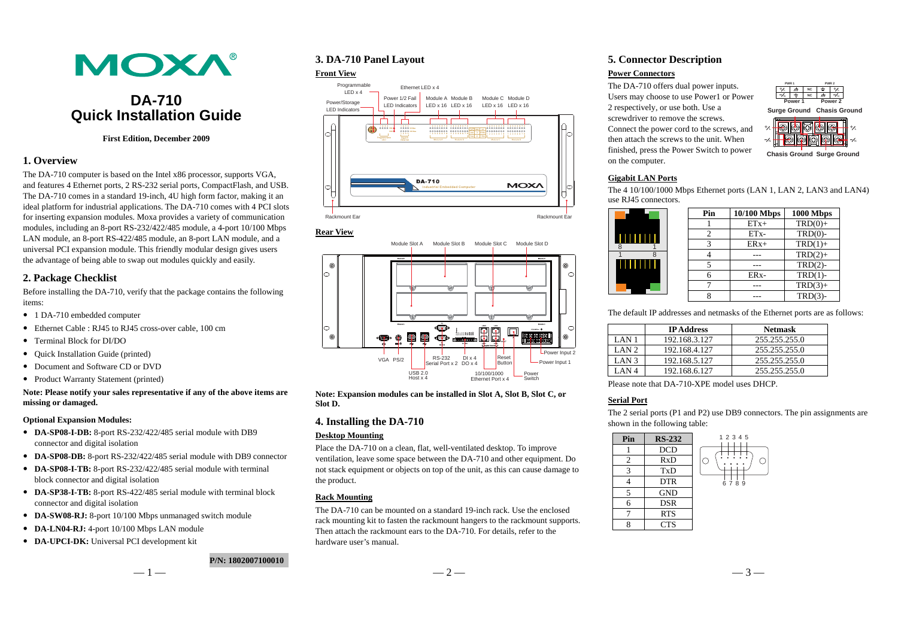

# **DA-710 Quick Installation Guide**

#### **First Edition, December 2009**

## **1. Overview**

The DA-710 computer is based on the Intel x86 processor, supports VGA, and features 4 Ethernet ports, 2 RS-232 serial ports, CompactFlash, and USB. The DA-710 comes in a standard 19-inch, 4U high form factor, making it an ideal platform for industrial applications. The DA-710 comes with 4 PCI slots for inserting expansion modules. Moxa provides a variety of communication modules, including an 8-port RS-232/422/485 module, a 4-port 10/100 Mbps LAN module, an 8-port RS-422/485 module, an 8-port LAN module, and a universal PCI expansion module. This friendly modular design gives users the advantage of being able to swap out modules quickly and easily.

## **2. Package Checklist**

Before installing the DA-710, verify that the package contains the following items:

- 1 DA-710 embedded computer
- Ethernet Cable : RJ45 to RJ45 cross-over cable, 100 cm
- Terminal Block for DI/DO
- Quick Installation Guide (printed)
- Document and Software CD or DVD
- Product Warranty Statement (printed)

## **Note: Please notify your sales representative if any of the above items are missing or damaged.**

#### **Optional Expansion Modules:**

- **DA-SP08-I-DB:** 8-port RS-232/422/485 serial module with DB9 connector and digital isolation
- **DA-SP08-DB:** 8-port RS-232/422/485 serial module with DB9 connector
- **DA-SP08-I-TB:** 8-port RS-232/422/485 serial module with terminal block connector and digital isolation
- **DA-SP38-I-TB:** 8-port RS-422/485 serial module with terminal block connector and digital isolation
- **DA-SW08-RJ:** 8-port 10/100 Mbps unmanaged switch module
- **DA-LN04-RJ:** 4-port 10/100 Mbps LAN module
- **DA-UPCI-DK:** Universal PCI development kit

## **3. DA-710 Panel Layout**

#### **Front View**



#### **Rear View**



**Note: Expansion modules can be installed in Slot A, Slot B, Slot C, or Slot D.** 

## **4. Installing the DA-710**

#### **Desktop Mounting**

Place the DA-710 on a clean, flat, well-ventilated desktop. To improve ventilation, leave some space between the DA-710 and other equipment. Do not stack equipment or objects on top of the unit, as this can cause damage to the product.

#### **Rack Mounting**

The DA-710 can be mounted on a standard 19-inch rack. Use the enclosed rack mounting kit to fasten the rackmount hangers to the rackmount supports. Then attach the rackmount ears to the DA-710. For details, refer to the hardware user's manual.

## **5. Connector Description**

#### **Power Connectors**

The DA-710 offers dual power inputs. Users may choose to use Power1 or Power 2 respectively, or use both. Use a screwdriver to remove the screws. Connect the power cord to the screws, and then attach the screws to the unit. When finished, press the Power Switch to power on the computer.



**Chasis GroundSurge Ground**

+ $\nabla$ 

+ $\nabla$ 

**Chasis Ground Surge Ground** 

## **Gigabit LAN Ports**

The 4 10/100/1000 Mbps Ethernet ports (LAN 1, LAN 2, LAN3 and LAN4) use RJ45 connectors.

|              | Pin | 10/100 Mbps       | 1000 Mbps  |
|--------------|-----|-------------------|------------|
|              |     | $ETx+$            | $TRD(0) +$ |
| <b>THEFT</b> |     | ETx-              | $TRD(0)$ - |
|              |     | $ERx+$            | $TRD(1) +$ |
| 8            |     |                   | $TRD(2) +$ |
|              |     |                   | $TRD(2)$ - |
|              |     | ER <sub>x</sub> - | $TRD(1)$ - |
|              |     |                   | $TRD(3) +$ |
|              |     |                   | $TRD(3)$ - |

The default IP addresses and netmasks of the Ethernet ports are as follows:

|                  | <b>IP Address</b> | <b>Netmask</b> |
|------------------|-------------------|----------------|
| LAN <sub>1</sub> | 192.168.3.127     | 255.255.255.0  |
| $LAN$ 2.         | 192.168.4.127     | 255.255.255.0  |
| LAN <sub>3</sub> | 192.168.5.127     | 255.255.255.0  |
| LAN 4            | 192.168.6.127     | 255.255.255.0  |

Please note that DA-710-XPE model uses DHCP.

## **Serial Port**

The 2 serial ports (P1 and P2) use DB9 connectors. The pin assignments are shown in the following table: